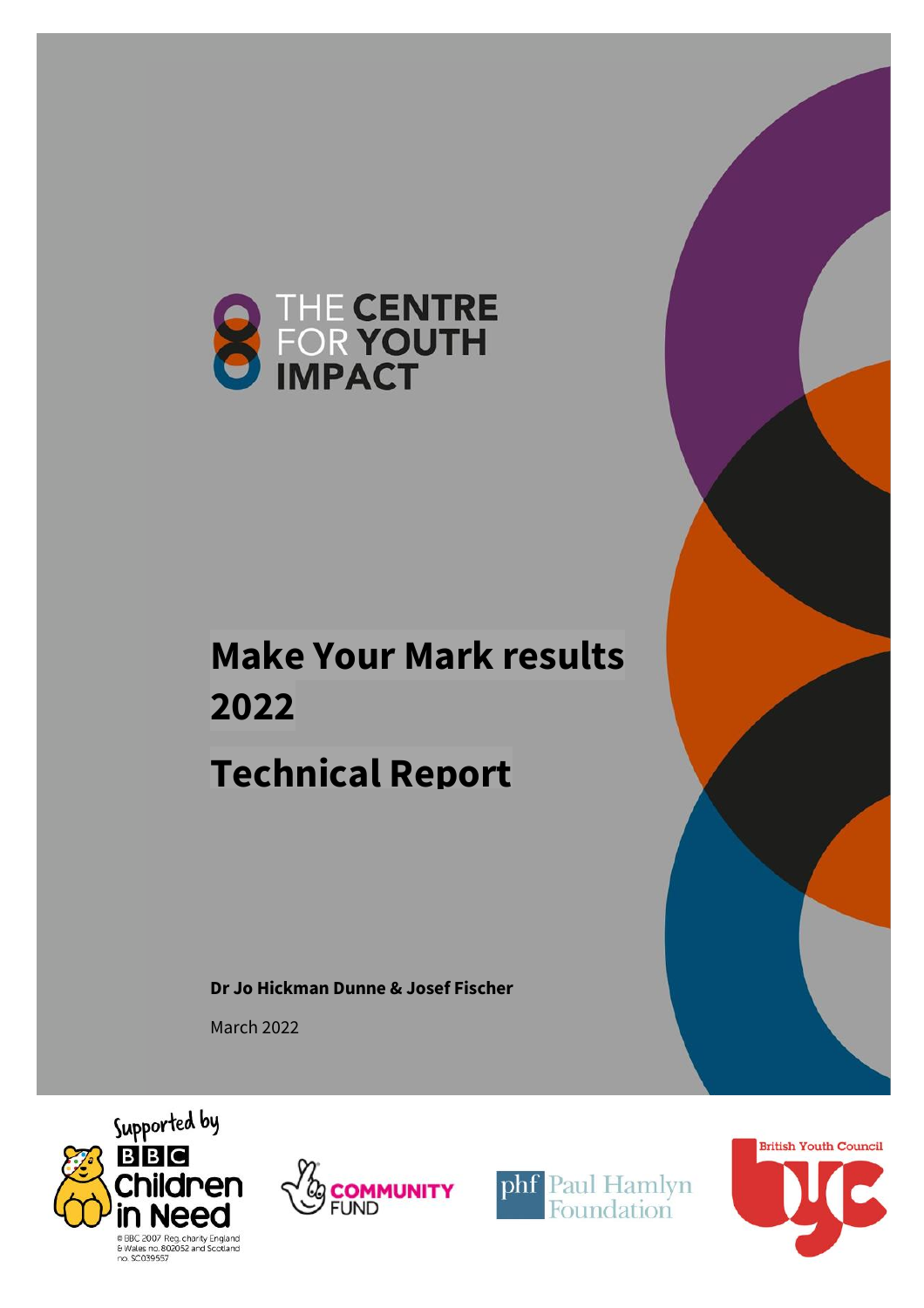

# **Make Your Mark results 2022**

# **Technical Report**

**Dr Jo Hickman Dunne & Josef Fischer**

March 2022







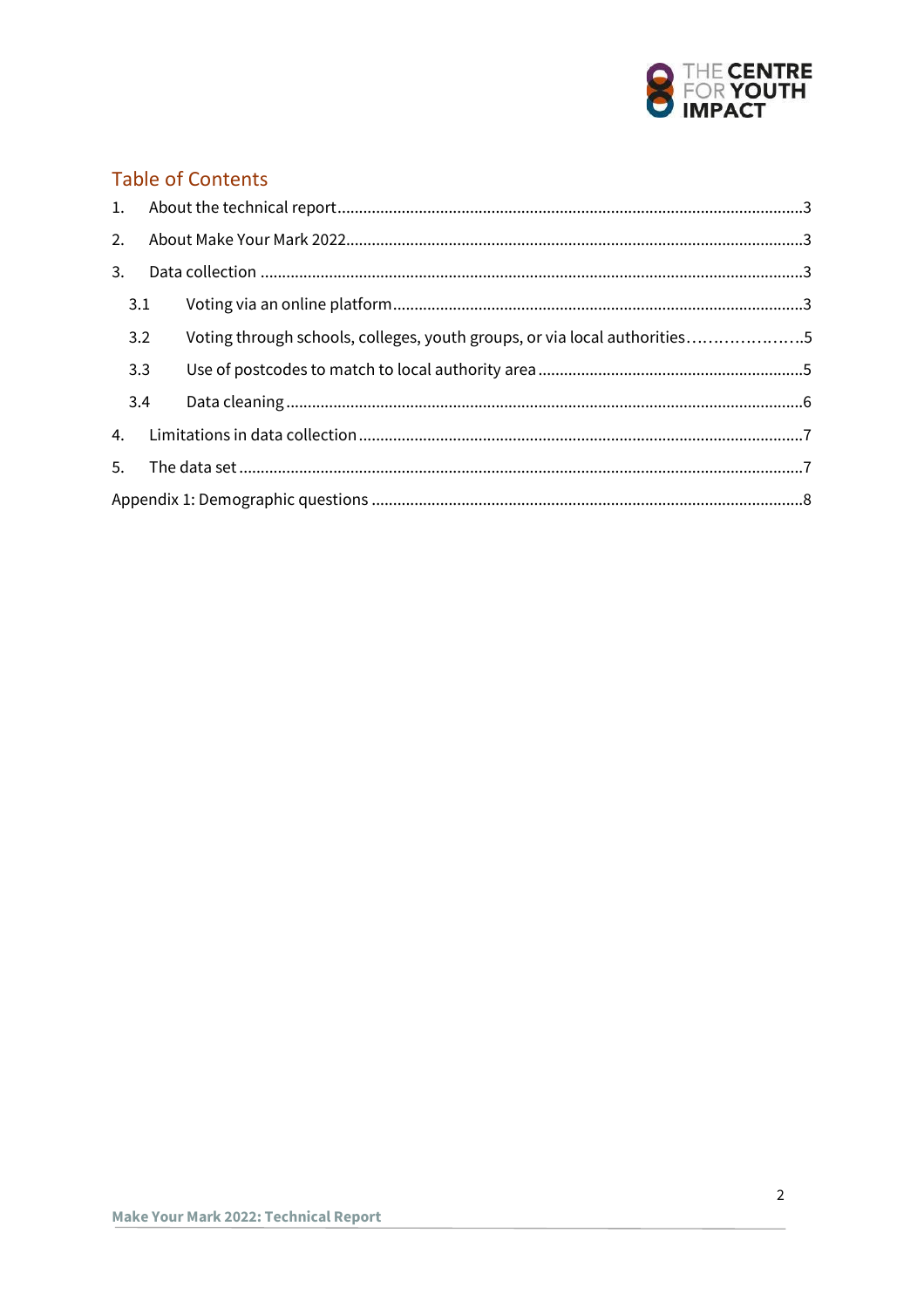

## **Table of Contents**

| 2. |     |                                                                           |  |  |  |
|----|-----|---------------------------------------------------------------------------|--|--|--|
| 3. |     |                                                                           |  |  |  |
|    | 3.1 |                                                                           |  |  |  |
|    | 3.2 | Voting through schools, colleges, youth groups, or via local authorities5 |  |  |  |
|    | 3.3 |                                                                           |  |  |  |
|    | 3.4 |                                                                           |  |  |  |
| 4. |     |                                                                           |  |  |  |
| 5. |     |                                                                           |  |  |  |
|    |     |                                                                           |  |  |  |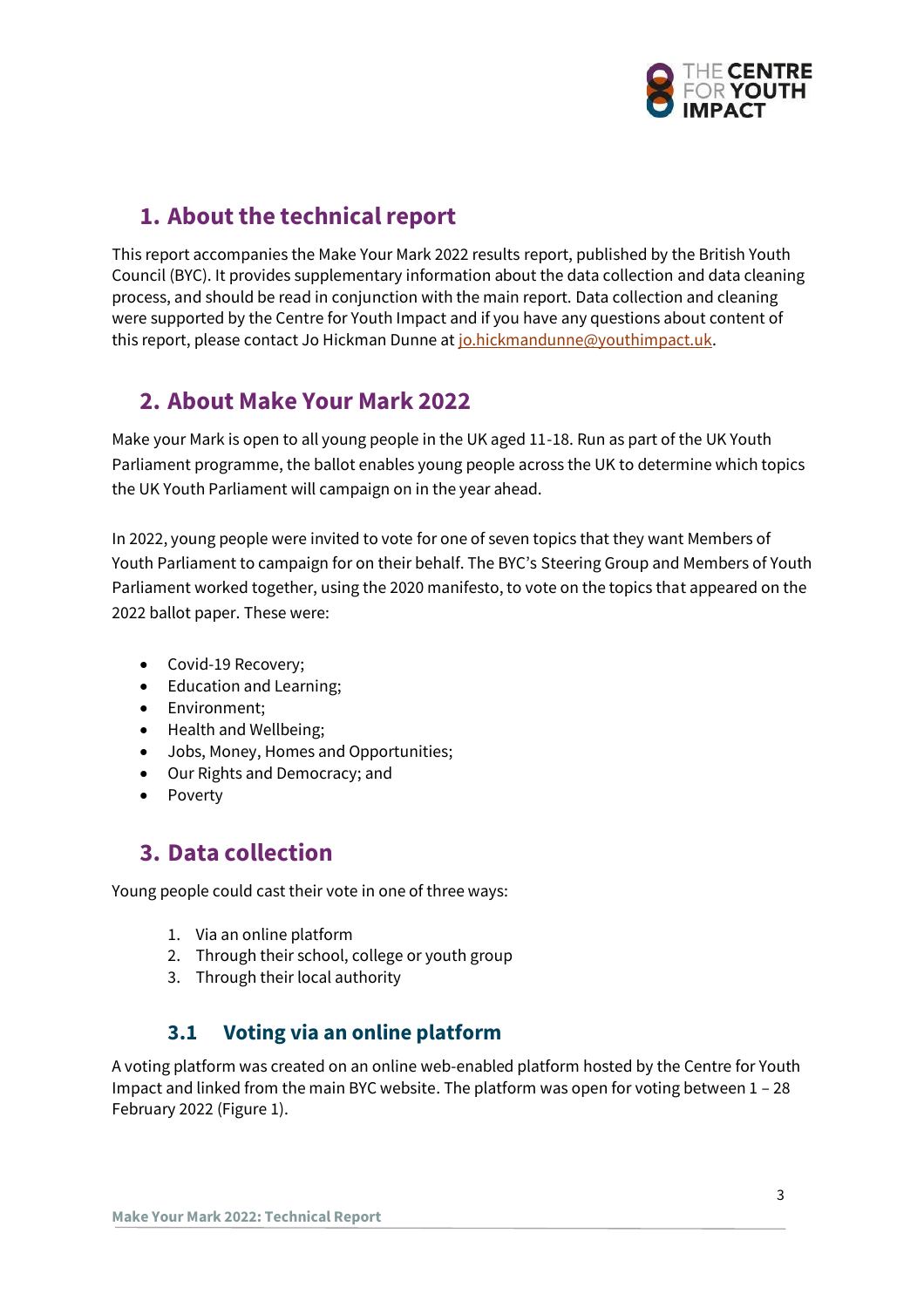

# <span id="page-2-0"></span>**1. About the technical report**

This report accompanies the Make Your Mark 2022 results report, published by the British Youth Council (BYC). It provides supplementary information about the data collection and data cleaning process, and should be read in conjunction with the main report. Data collection and cleaning were supported by the Centre for Youth Impact and if you have any questions about content of this report, please contact Jo Hickman Dunne at [jo.hickmandunne@youthimpact.uk.](mailto:jo.hickmandunne@youthimpact.uk)

## <span id="page-2-1"></span>**2. About Make Your Mark 2022**

Make your Mark is open to all young people in the UK aged 11-18. Run as part of the UK Youth Parliament programme, the ballot enables young people across the UK to determine which topics the UK Youth Parliament will campaign on in the year ahead.

In 2022, young people were invited to vote for one of seven topics that they want Members of Youth Parliament to campaign for on their behalf. The BYC's Steering Group and Members of Youth Parliament worked together, using the 2020 manifesto, to vote on the topics that appeared on the 2022 ballot paper. These were:

- Covid-19 Recovery;
- Education and Learning;
- Environment;
- Health and Wellbeing;
- Jobs, Money, Homes and Opportunities;
- Our Rights and Democracy; and
- Poverty

## <span id="page-2-2"></span>**3. Data collection**

Young people could cast their vote in one of three ways:

- 1. Via an online platform
- 2. Through their school, college or youth group
- 3. Through their local authority

## **3.1 Voting via an online platform**

<span id="page-2-3"></span>A voting platform was created on an online web-enabled platform hosted by the Centre for Youth Impact and linked from the main BYC website. The platform was open for voting between 1 – 28 February 2022 (Figure 1).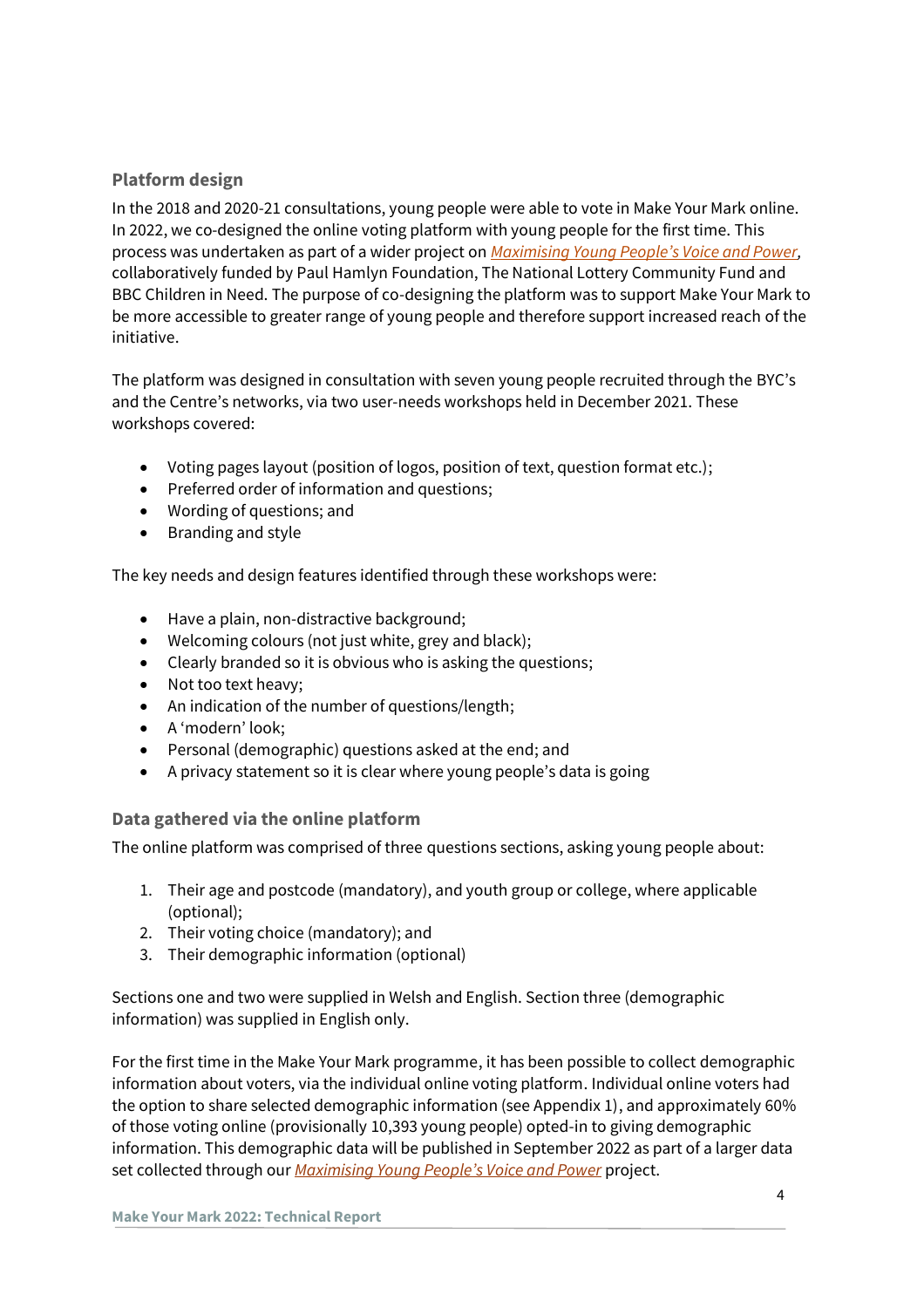## **Platform design**

In the 2018 and 2020-21 consultations, young people were able to vote in Make Your Mark online. In 2022, we co-designed the online voting platform with young people for the first time. This process was undertaken as part of a wider project on *[Maximising Young People's Voice and Power](https://www.youthimpact.uk/our-projects/maximising-young-peoples-voice-and-power),*  collaboratively funded by Paul Hamlyn Foundation, The National Lottery Community Fund and BBC Children in Need. The purpose of co-designing the platform was to support Make Your Mark to be more accessible to greater range of young people and therefore support increased reach of the initiative.

The platform was designed in consultation with seven young people recruited through the BYC's and the Centre's networks, via two user-needs workshops held in December 2021. These workshops covered:

- Voting pages layout (position of logos, position of text, question format etc.);
- Preferred order of information and questions;
- Wording of questions; and
- Branding and style

The key needs and design features identified through these workshops were:

- Have a plain, non-distractive background;
- Welcoming colours (not just white, grey and black);
- Clearly branded so it is obvious who is asking the questions;
- Not too text heavy;
- An indication of the number of questions/length;
- A 'modern' look;
- Personal (demographic) questions asked at the end; and
- A privacy statement so it is clear where young people's data is going

### **Data gathered via the online platform**

The online platform was comprised of three questions sections, asking young people about:

- 1. Their age and postcode (mandatory), and youth group or college, where applicable (optional);
- 2. Their voting choice (mandatory); and
- 3. Their demographic information (optional)

Sections one and two were supplied in Welsh and English. Section three (demographic information) was supplied in English only.

For the first time in the Make Your Mark programme, it has been possible to collect demographic information about voters, via the individual online voting platform. Individual online voters had the option to share selected demographic information (see Appendix 1), and approximately 60% of those voting online (provisionally 10,393 young people) opted-in to giving demographic information. This demographic data will be published in September 2022 as part of a larger data set collected through our *[Maximising Young People's V](https://www.youthimpact.uk/our-projects/maximising-young-peoples-voice-and-power)oice and Power* project.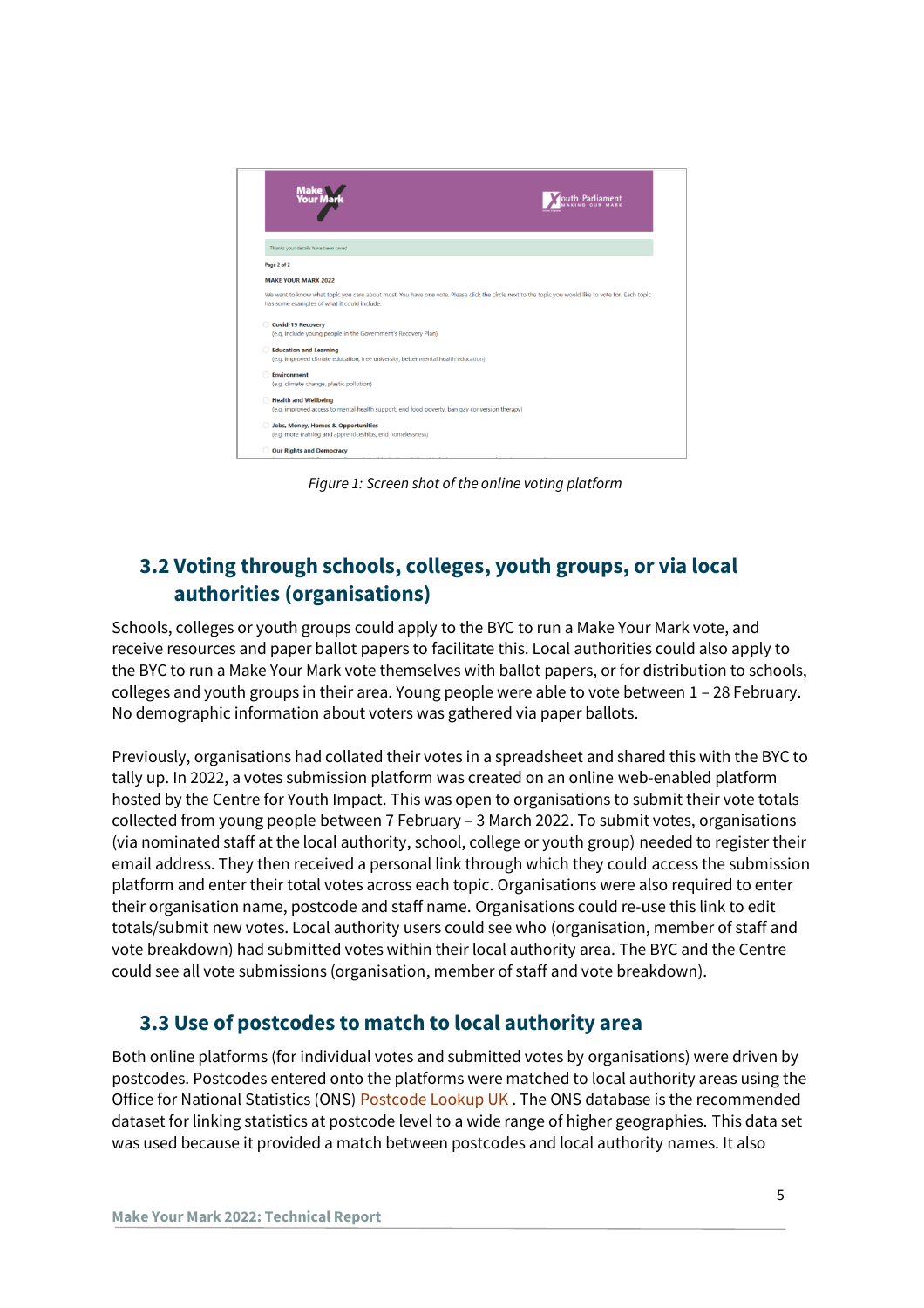

*Figure 1: Screen shot of the online voting platform*

## <span id="page-4-0"></span>**3.2 Voting through schools, colleges, youth groups, or via local authorities (organisations)**

Schools, colleges or youth groups could apply to the BYC to run a Make Your Mark vote, and receive resources and paper ballot papers to facilitate this. Local authorities could also apply to the BYC to run a Make Your Mark vote themselves with ballot papers, or for distribution to schools, colleges and youth groups in their area. Young people were able to vote between 1 – 28 February. No demographic information about voters was gathered via paper ballots.

Previously, organisations had collated their votes in a spreadsheet and shared this with the BYC to tally up. In 2022, a votes submission platform was created on an online web-enabled platform hosted by the Centre for Youth Impact. This was open to organisations to submit their vote totals collected from young people between 7 February – 3 March 2022. To submit votes, organisations (via nominated staff at the local authority, school, college or youth group) needed to register their email address. They then received a personal link through which they could access the submission platform and enter their total votes across each topic. Organisations were also required to enter their organisation name, postcode and staff name. Organisations could re-use this link to edit totals/submit new votes. Local authority users could see who (organisation, member of staff and vote breakdown) had submitted votes within their local authority area. The BYC and the Centre could see all vote submissions (organisation, member of staff and vote breakdown).

## <span id="page-4-1"></span>**3.3 Use of postcodes to match to local authority area**

Both online platforms (for individual votes and submitted votes by organisations) were driven by postcodes. Postcodes entered onto the platforms were matched to local authority areas using the Office for National Statistics (ONS) **Postcode Lookup UK**. The ONS database is the recommended dataset for linking statistics at postcode level to a wide range of higher geographies. This data set was used because it provided a match between postcodes and local authority names. It also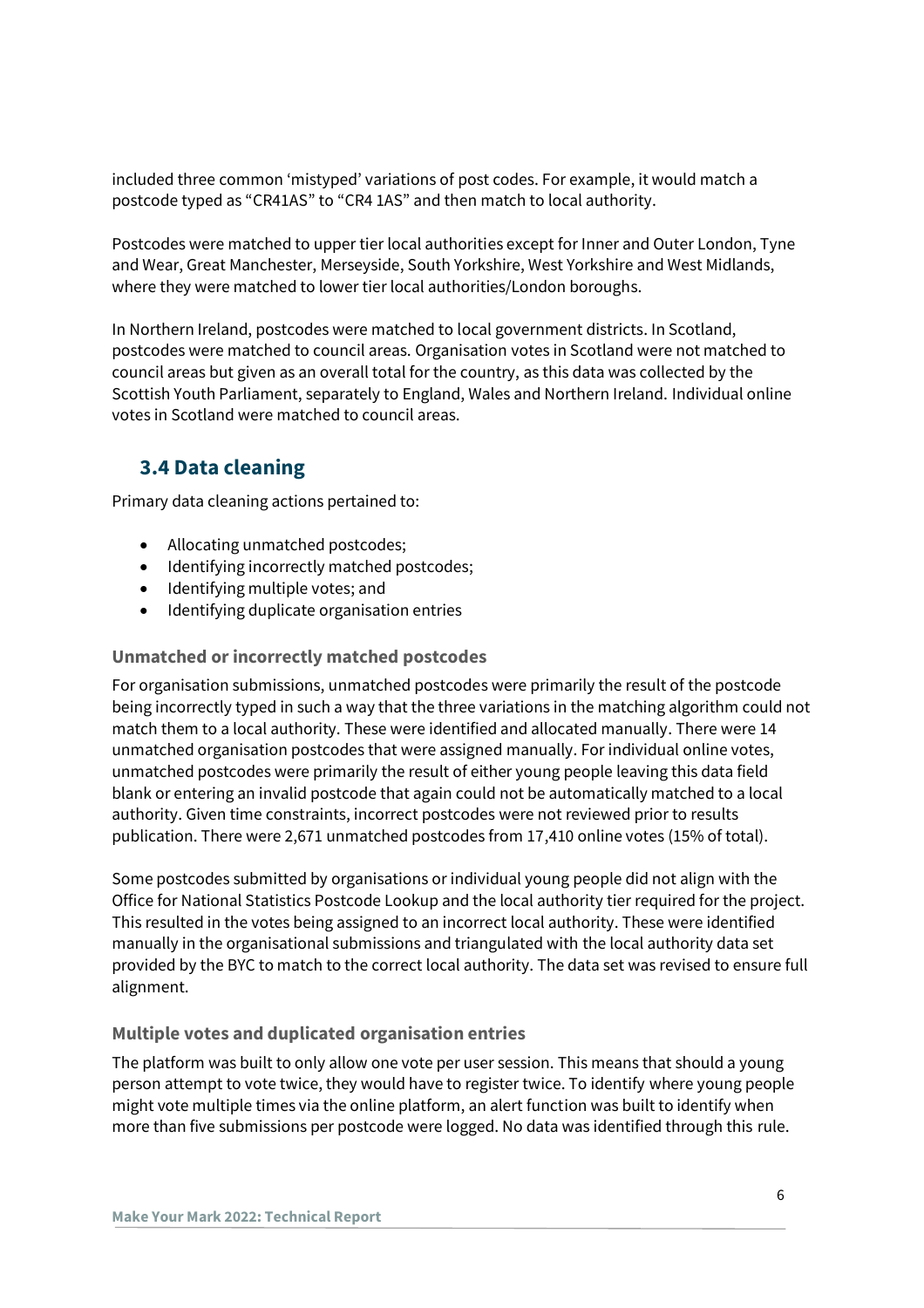included three common 'mistyped' variations of post codes. For example, it would match a postcode typed as "CR41AS" to "CR4 1AS" and then match to local authority.

Postcodes were matched to upper tier local authorities except for Inner and Outer London, Tyne and Wear, Great Manchester, Merseyside, South Yorkshire, West Yorkshire and West Midlands, where they were matched to lower tier local authorities/London boroughs.

In Northern Ireland, postcodes were matched to local government districts. In Scotland, postcodes were matched to council areas. Organisation votes in Scotland were not matched to council areas but given as an overall total for the country, as this data was collected by the Scottish Youth Parliament, separately to England, Wales and Northern Ireland. Individual online votes in Scotland were matched to council areas.

## <span id="page-5-0"></span>**3.4 Data cleaning**

Primary data cleaning actions pertained to:

- Allocating unmatched postcodes;
- Identifying incorrectly matched postcodes;
- Identifying multiple votes; and
- Identifying duplicate organisation entries

### **Unmatched or incorrectly matched postcodes**

For organisation submissions, unmatched postcodes were primarily the result of the postcode being incorrectly typed in such a way that the three variations in the matching algorithm could not match them to a local authority. These were identified and allocated manually. There were 14 unmatched organisation postcodes that were assigned manually. For individual online votes, unmatched postcodes were primarily the result of either young people leaving this data field blank or entering an invalid postcode that again could not be automatically matched to a local authority. Given time constraints, incorrect postcodes were not reviewed prior to results publication. There were 2,671 unmatched postcodes from 17,410 online votes (15% of total).

Some postcodes submitted by organisations or individual young people did not align with the Office for National Statistics Postcode Lookup and the local authority tier required for the project. This resulted in the votes being assigned to an incorrect local authority. These were identified manually in the organisational submissions and triangulated with the local authority data set provided by the BYC to match to the correct local authority. The data set was revised to ensure full alignment.

### **Multiple votes and duplicated organisation entries**

The platform was built to only allow one vote per user session. This means that should a young person attempt to vote twice, they would have to register twice. To identify where young people might vote multiple times via the online platform, an alert function was built to identify when more than five submissions per postcode were logged. No data was identified through this rule.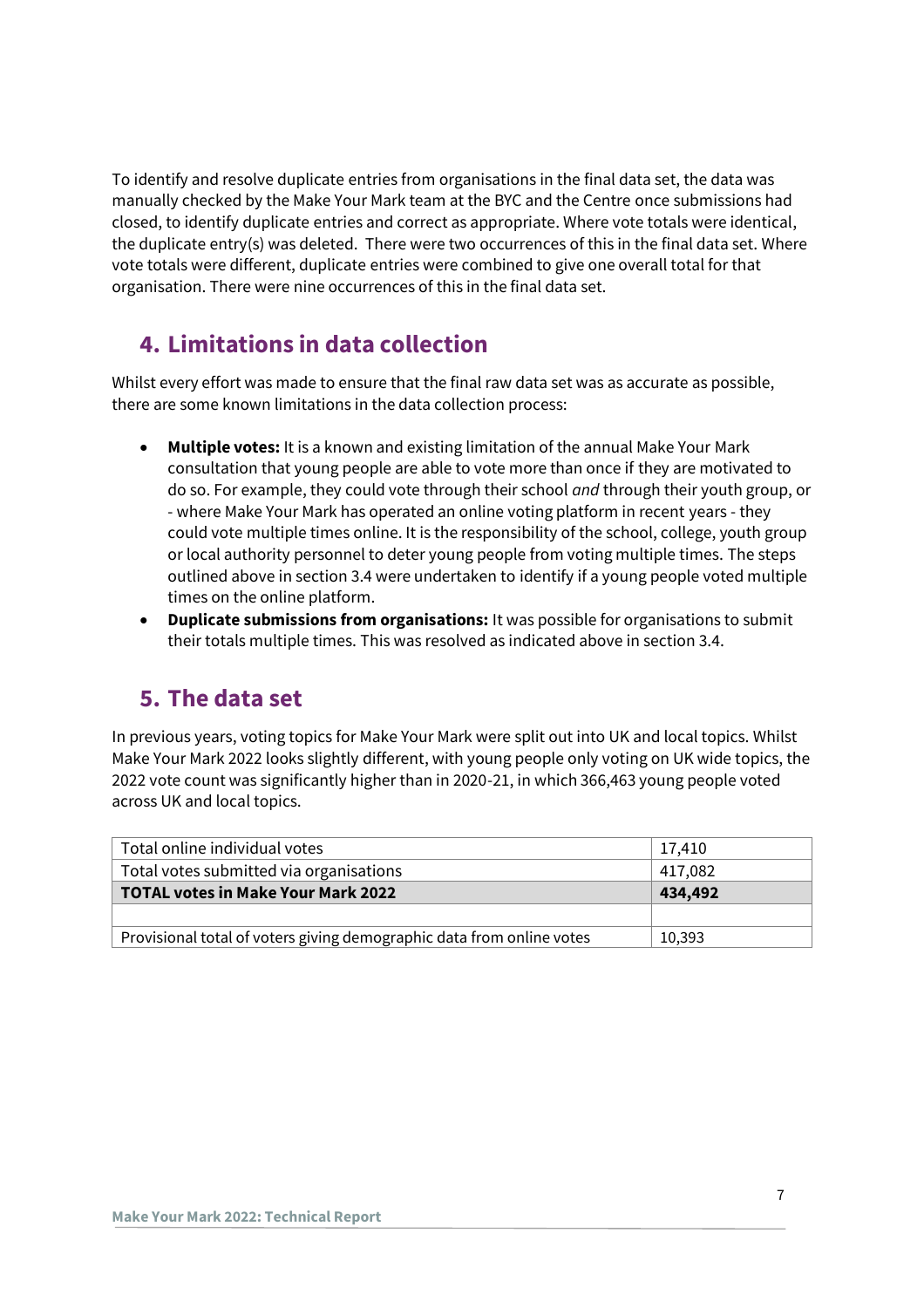To identify and resolve duplicate entries from organisations in the final data set, the data was manually checked by the Make Your Mark team at the BYC and the Centre once submissions had closed, to identify duplicate entries and correct as appropriate. Where vote totals were identical, the duplicate entry(s) was deleted. There were two occurrences of this in the final data set. Where vote totals were different, duplicate entries were combined to give one overall total for that organisation. There were nine occurrences of this in the final data set.

## <span id="page-6-0"></span>**4. Limitations in data collection**

Whilst every effort was made to ensure that the final raw data set was as accurate as possible, there are some known limitations in the data collection process:

- **Multiple votes:** It is a known and existing limitation of the annual Make Your Mark consultation that young people are able to vote more than once if they are motivated to do so. For example, they could vote through their school *and* through their youth group, or - where Make Your Mark has operated an online voting platform in recent years - they could vote multiple times online. It is the responsibility of the school, college, youth group or local authority personnel to deter young people from voting multiple times. The steps outlined above in section 3.4 were undertaken to identify if a young people voted multiple times on the online platform.
- **Duplicate submissions from organisations:** It was possible for organisations to submit their totals multiple times. This was resolved as indicated above in section 3.4.

## <span id="page-6-1"></span>**5. The data set**

In previous years, voting topics for Make Your Mark were split out into UK and local topics. Whilst Make Your Mark 2022 looks slightly different, with young people only voting on UK wide topics, the 2022 vote count was significantly higher than in 2020-21, in which 366,463 young people voted across UK and local topics.

| Total online individual votes                                         | 17.410  |  |
|-----------------------------------------------------------------------|---------|--|
| Total votes submitted via organisations                               | 417,082 |  |
| TOTAL votes in Make Your Mark 2022                                    | 434,492 |  |
|                                                                       |         |  |
| Provisional total of voters giving demographic data from online votes | 10.393  |  |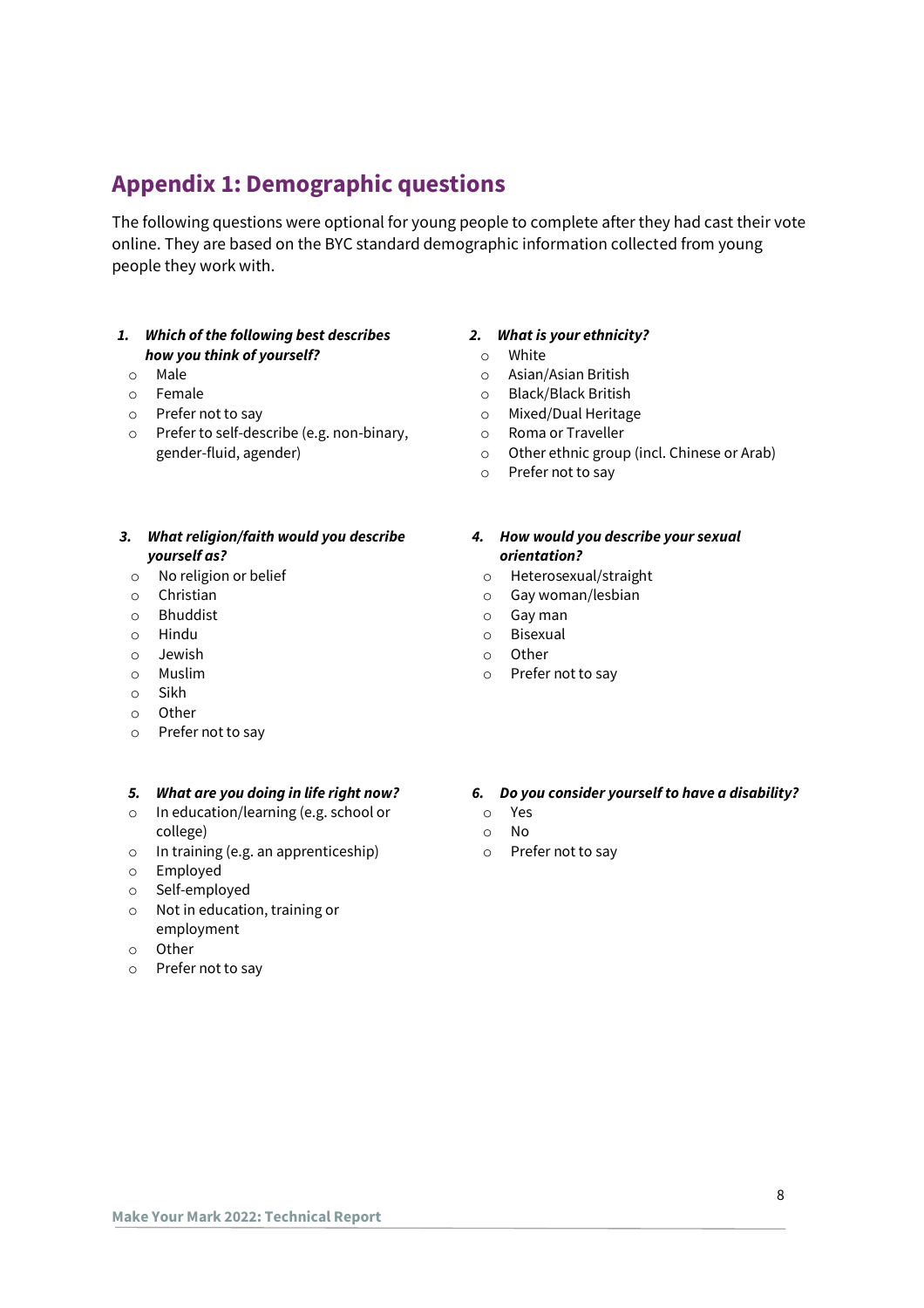## <span id="page-7-0"></span>**Appendix 1: Demographic questions**

The following questions were optional for young people to complete after they had cast their vote online. They are based on the BYC standard demographic information collected from young people they work with.

#### *1. Which of the following best describes how you think of yourself?*

- o Male
- o Female
- o Prefer not to say
- o Prefer to self-describe (e.g. non-binary, gender-fluid, agender)

#### *3. What religion/faith would you describe yourself as?*

- o No religion or belief
- o Christian
- o Bhuddist
- o Hindu
- o Jewish
- o Muslim
- o Sikh
- o Other
- o Prefer not to say

#### *5. What are you doing in life right now?*

- o In education/learning (e.g. school or college)
- o In training (e.g. an apprenticeship)
- o Employed
- o Self-employed
- o Not in education, training or employment
- o Other
- 
- o Prefer not to say

#### *2. What is your ethnicity?*

- o White
- o Asian/Asian British
- o Black/Black British
- o Mixed/Dual Heritage
- o Roma or Traveller
- o Other ethnic group (incl. Chinese or Arab)
- o Prefer not to say

#### *4. How would you describe your sexual orientation?*

- o Heterosexual/straight
- o Gay woman/lesbian
- o Gay man
- o Bisexual
- o Other
- o Prefer not to say

#### *6. Do you consider yourself to have a disability?*

- o Yes
- o No
- o Prefer not to say